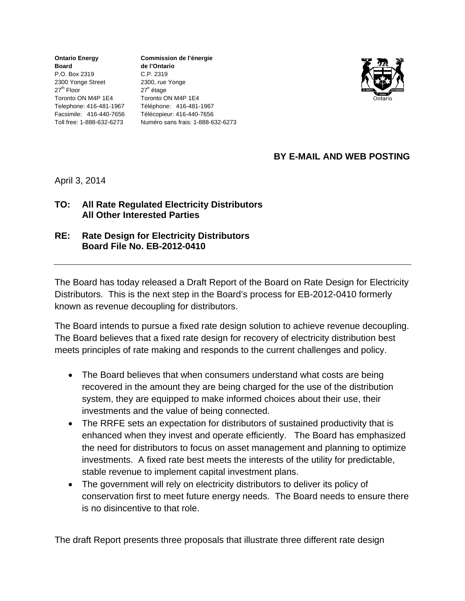**Ontario Energy Board**  P.O. Box 2319 2300 Yonge Street  $27<sup>th</sup>$  Floor Toronto ON M4P 1E4 Toll free: 1-888-632-6273

Telephone: 416-481-1967 Téléphone: 416-481-1967 Facsimile: 416-440-7656 Télécopieur: 416-440-7656 **Commission de l'énergie de l'Ontario** C.P. 2319 2300, rue Yonge 27<sup>e</sup> étage Toronto ON M4P 1E4 Numéro sans frais: 1-888-632-6273



## **BY E-MAIL AND WEB POSTING**

April 3, 2014

## **TO: All Rate Regulated Electricity Distributors All Other Interested Parties**

**RE: Rate Design for Electricity Distributors Board File No. EB-2012-0410**

The Board has today released a Draft Report of the Board on Rate Design for Electricity Distributors. This is the next step in the Board's process for EB-2012-0410 formerly known as revenue decoupling for distributors.

The Board intends to pursue a fixed rate design solution to achieve revenue decoupling. The Board believes that a fixed rate design for recovery of electricity distribution best meets principles of rate making and responds to the current challenges and policy.

- The Board believes that when consumers understand what costs are being recovered in the amount they are being charged for the use of the distribution system, they are equipped to make informed choices about their use, their investments and the value of being connected.
- The RRFE sets an expectation for distributors of sustained productivity that is enhanced when they invest and operate efficiently. The Board has emphasized the need for distributors to focus on asset management and planning to optimize investments. A fixed rate best meets the interests of the utility for predictable, stable revenue to implement capital investment plans.
- The government will rely on electricity distributors to deliver its policy of conservation first to meet future energy needs. The Board needs to ensure there is no disincentive to that role.

The draft Report presents three proposals that illustrate three different rate design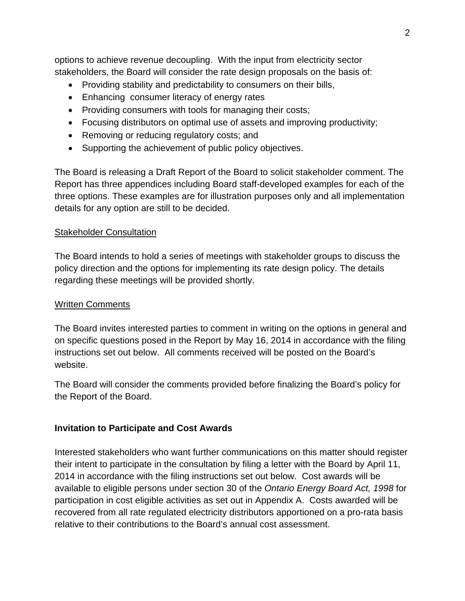options to achieve revenue decoupling. With the input from electricity sector stakeholders, the Board will consider the rate design proposals on the basis of:

- Providing stability and predictability to consumers on their bills,
- Enhancing consumer literacy of energy rates
- Providing consumers with tools for managing their costs;
- Focusing distributors on optimal use of assets and improving productivity;
- Removing or reducing regulatory costs; and
- Supporting the achievement of public policy objectives.

The Board is releasing a Draft Report of the Board to solicit stakeholder comment. The Report has three appendices including Board staff-developed examples for each of the three options. These examples are for illustration purposes only and all implementation details for any option are still to be decided.

### **Stakeholder Consultation**

The Board intends to hold a series of meetings with stakeholder groups to discuss the policy direction and the options for implementing its rate design policy. The details regarding these meetings will be provided shortly.

#### Written Comments

The Board invites interested parties to comment in writing on the options in general and on specific questions posed in the Report by May 16, 2014 in accordance with the filing instructions set out below. All comments received will be posted on the Board's website.

The Board will consider the comments provided before finalizing the Board's policy for the Report of the Board.

## **Invitation to Participate and Cost Awards**

Interested stakeholders who want further communications on this matter should register their intent to participate in the consultation by filing a letter with the Board by April 11, 2014 in accordance with the filing instructions set out below. Cost awards will be available to eligible persons under section 30 of the *Ontario Energy Board Act, 1998* for participation in cost eligible activities as set out in Appendix A. Costs awarded will be recovered from all rate regulated electricity distributors apportioned on a pro-rata basis relative to their contributions to the Board's annual cost assessment.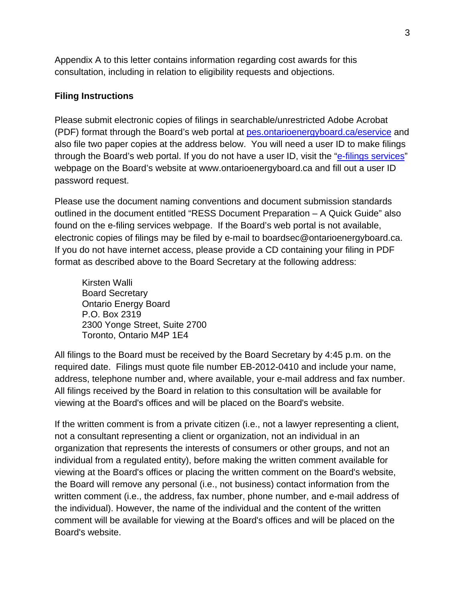Appendix A to this letter contains information regarding cost awards for this consultation, including in relation to eligibility requests and objections.

### **Filing Instructions**

Please submit electronic copies of filings in searchable/unrestricted Adobe Acrobat (PDF) format through the Board's web portal at pes.ontarioenergyboard.ca/eservice and also file two paper copies at the address below. You will need a user ID to make filings through the Board's web portal. If you do not have a user ID, visit the "e-filings services" webpage on the Board's website at www.ontarioenergyboard.ca and fill out a user ID password request.

Please use the document naming conventions and document submission standards outlined in the document entitled "RESS Document Preparation – A Quick Guide" also found on the e-filing services webpage. If the Board's web portal is not available, electronic copies of filings may be filed by e-mail to boardsec@ontarioenergyboard.ca. If you do not have internet access, please provide a CD containing your filing in PDF format as described above to the Board Secretary at the following address:

Kirsten Walli Board Secretary Ontario Energy Board P.O. Box 2319 2300 Yonge Street, Suite 2700 Toronto, Ontario M4P 1E4

All filings to the Board must be received by the Board Secretary by 4:45 p.m. on the required date. Filings must quote file number EB-2012-0410 and include your name, address, telephone number and, where available, your e-mail address and fax number. All filings received by the Board in relation to this consultation will be available for viewing at the Board's offices and will be placed on the Board's website.

If the written comment is from a private citizen (i.e., not a lawyer representing a client, not a consultant representing a client or organization, not an individual in an organization that represents the interests of consumers or other groups, and not an individual from a regulated entity), before making the written comment available for viewing at the Board's offices or placing the written comment on the Board's website, the Board will remove any personal (i.e., not business) contact information from the written comment (i.e., the address, fax number, phone number, and e-mail address of the individual). However, the name of the individual and the content of the written comment will be available for viewing at the Board's offices and will be placed on the Board's website.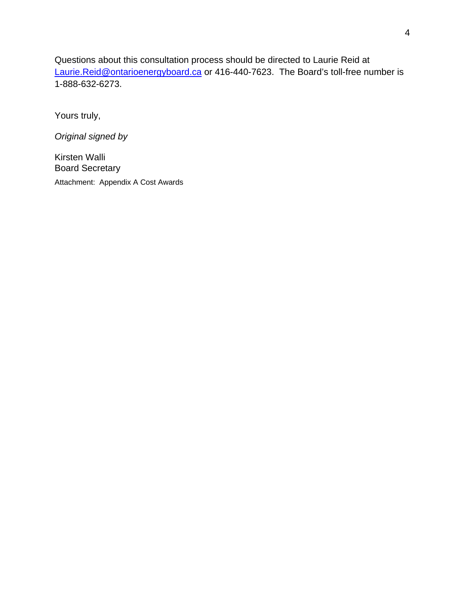Questions about this consultation process should be directed to Laurie Reid at Laurie.Reid@ontarioenergyboard.ca or 416-440-7623. The Board's toll-free number is 1-888-632-6273.

Yours truly,

*Original signed by* 

Kirsten Walli Board Secretary Attachment: Appendix A Cost Awards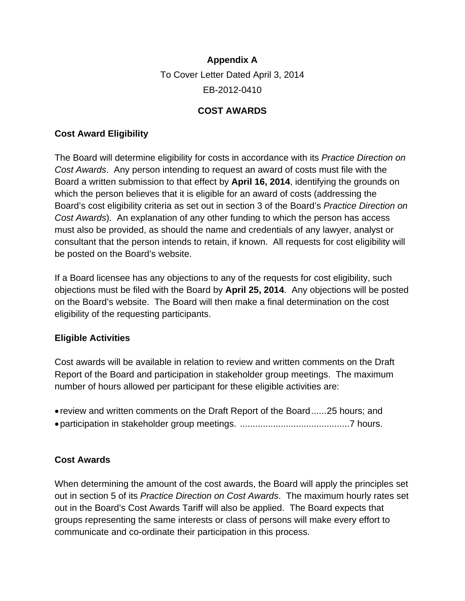# **Appendix A**  To Cover Letter Dated April 3, 2014 EB-2012-0410

# **COST AWARDS**

## **Cost Award Eligibility**

The Board will determine eligibility for costs in accordance with its *Practice Direction on Cost Awards*. Any person intending to request an award of costs must file with the Board a written submission to that effect by **April 16, 2014**, identifying the grounds on which the person believes that it is eligible for an award of costs (addressing the Board's cost eligibility criteria as set out in section 3 of the Board's *Practice Direction on Cost Awards*). An explanation of any other funding to which the person has access must also be provided, as should the name and credentials of any lawyer, analyst or consultant that the person intends to retain, if known. All requests for cost eligibility will be posted on the Board's website.

If a Board licensee has any objections to any of the requests for cost eligibility, such objections must be filed with the Board by **April 25, 2014**. Any objections will be posted on the Board's website. The Board will then make a final determination on the cost eligibility of the requesting participants.

## **Eligible Activities**

Cost awards will be available in relation to review and written comments on the Draft Report of the Board and participation in stakeholder group meetings. The maximum number of hours allowed per participant for these eligible activities are:

 review and written comments on the Draft Report of the Board ...... 25 hours; and participation in stakeholder group meetings. ........................................... 7 hours.

## **Cost Awards**

When determining the amount of the cost awards, the Board will apply the principles set out in section 5 of its *Practice Direction on Cost Awards*. The maximum hourly rates set out in the Board's Cost Awards Tariff will also be applied. The Board expects that groups representing the same interests or class of persons will make every effort to communicate and co-ordinate their participation in this process.